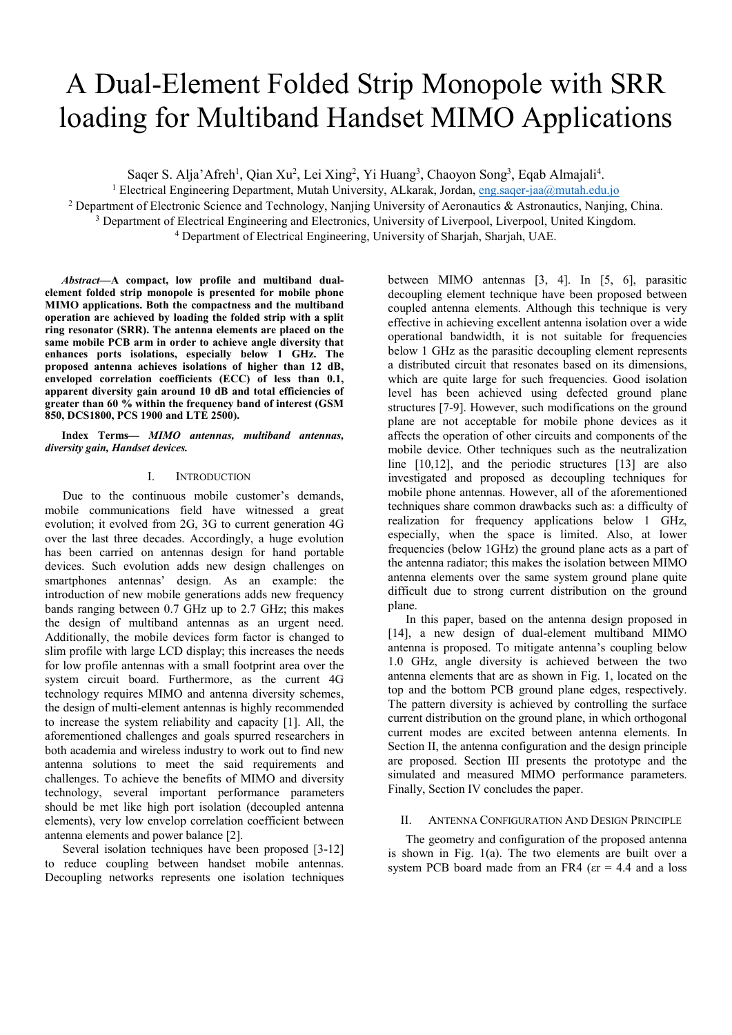# A Dual-Element Folded Strip Monopole with SRR loading for Multiband Handset MIMO Applications

Saqer S. Alja'Afreh<sup>1</sup>, Qian Xu<sup>2</sup>, Lei Xing<sup>2</sup>, Yi Huang<sup>3</sup>, Chaoyon Song<sup>3</sup>, Eqab Almajali<sup>4</sup>.<br><sup>1</sup> Electrical Engineering Department Mutab University, AI karak, Jordan eng sager-iaa@mutab.edu.

<sup>1</sup> Electrical Engineering Department, Mutah University, ALkarak, Jordan, eng.saqer-jaa@mutah.edu.jo

<sup>2</sup> Department of Electronic Science and Technology, Nanjing University of Aeronautics & Astronautics, Nanjing, China.

<sup>3</sup> Department of Electrical Engineering and Electronics, University of Liverpool, Liverpool, United Kingdom.

Department of Electrical Engineering, University of Sharjah, Sharjah, UAE.

*Abstract***—A compact, low profile and multiband dualelement folded strip monopole is presented for mobile phone MIMO applications. Both the compactness and the multiband operation are achieved by loading the folded strip with a split ring resonator (SRR). The antenna elements are placed on the same mobile PCB arm in order to achieve angle diversity that enhances ports isolations, especially below 1 GHz. The proposed antenna achieves isolations of higher than 12 dB, enveloped correlation coefficients (ECC) of less than 0.1, apparent diversity gain around 10 dB and total efficiencies of greater than 60 % within the frequency band of interest (GSM 850, DCS1800, PCS 1900 and LTE 2500).** 

## **Index Terms—** *MIMO antennas, multiband antennas, diversity gain, Handset devices.*

# I. INTRODUCTION

Due to the continuous mobile customer's demands, mobile communications field have witnessed a great evolution; it evolved from 2G, 3G to current generation 4G over the last three decades. Accordingly, a huge evolution has been carried on antennas design for hand portable devices. Such evolution adds new design challenges on smartphones antennas' design. As an example: the introduction of new mobile generations adds new frequency bands ranging between 0.7 GHz up to 2.7 GHz; this makes the design of multiband antennas as an urgent need. Additionally, the mobile devices form factor is changed to slim profile with large LCD display; this increases the needs for low profile antennas with a small footprint area over the system circuit board. Furthermore, as the current 4G technology requires MIMO and antenna diversity schemes, the design of multi-element antennas is highly recommended to increase the system reliability and capacity [1]. All, the aforementioned challenges and goals spurred researchers in both academia and wireless industry to work out to find new antenna solutions to meet the said requirements and challenges. To achieve the benefits of MIMO and diversity technology, several important performance parameters should be met like high port isolation (decoupled antenna elements), very low envelop correlation coefficient between antenna elements and power balance [2].

Several isolation techniques have been proposed [3-12] to reduce coupling between handset mobile antennas. Decoupling networks represents one isolation techniques between MIMO antennas [3, 4]. In [5, 6], parasitic decoupling element technique have been proposed between coupled antenna elements. Although this technique is very effective in achieving excellent antenna isolation over a wide operational bandwidth, it is not suitable for frequencies below 1 GHz as the parasitic decoupling element represents a distributed circuit that resonates based on its dimensions, which are quite large for such frequencies. Good isolation level has been achieved using defected ground plane structures [7-9]. However, such modifications on the ground plane are not acceptable for mobile phone devices as it affects the operation of other circuits and components of the mobile device. Other techniques such as the neutralization line [10,12], and the periodic structures [13] are also investigated and proposed as decoupling techniques for mobile phone antennas. However, all of the aforementioned techniques share common drawbacks such as: a difficulty of realization for frequency applications below 1 GHz, especially, when the space is limited. Also, at lower frequencies (below 1GHz) the ground plane acts as a part of the antenna radiator; this makes the isolation between MIMO antenna elements over the same system ground plane quite difficult due to strong current distribution on the ground plane.

In this paper, based on the antenna design proposed in [14], a new design of dual-element multiband MIMO antenna is proposed. To mitigate antenna's coupling below 1.0 GHz, angle diversity is achieved between the two antenna elements that are as shown in Fig. 1, located on the top and the bottom PCB ground plane edges, respectively. The pattern diversity is achieved by controlling the surface current distribution on the ground plane, in which orthogonal current modes are excited between antenna elements. In Section II, the antenna configuration and the design principle are proposed. Section III presents the prototype and the simulated and measured MIMO performance parameters. Finally, Section IV concludes the paper.

# II. ANTENNA CONFIGURATION AND DESIGN PRINCIPLE

The geometry and configuration of the proposed antenna is shown in Fig. 1(a). The two elements are built over a system PCB board made from an FR4 ( $\epsilon$ r = 4.4 and a loss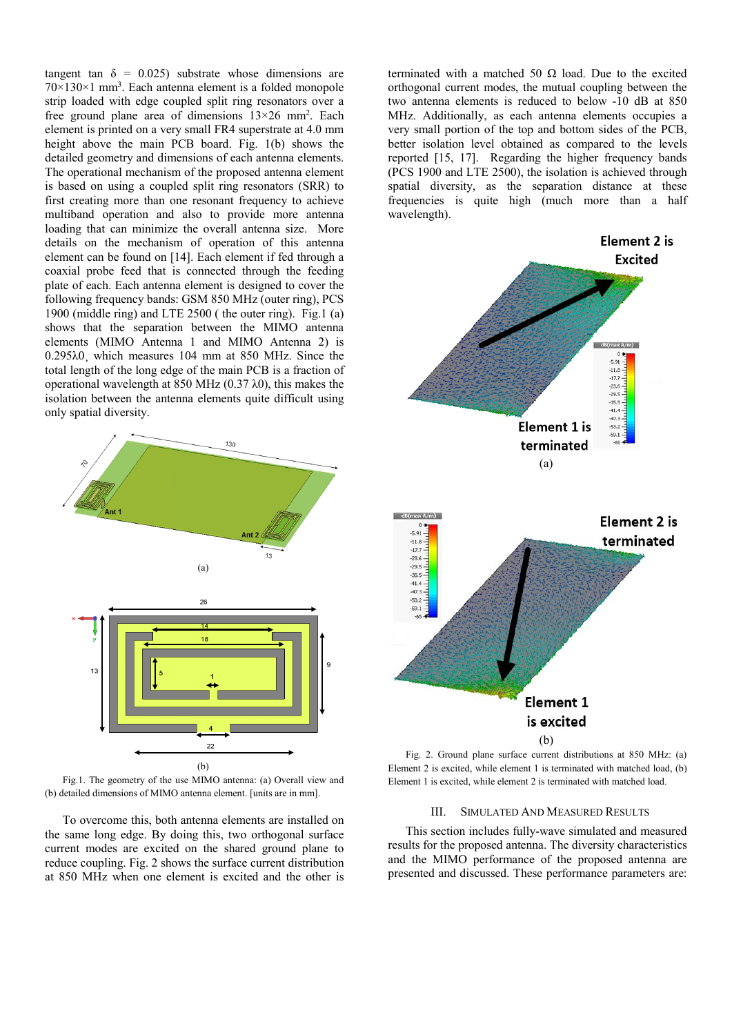tangent tan  $\delta = 0.025$ ) substrate whose dimensions are  $70 \times 130 \times 1$  mm<sup>3</sup>. Each antenna element is a folded monopole strip loaded with edge coupled split ring resonators over a free ground plane area of dimensions  $13\times26$  mm<sup>2</sup>. Each element is printed on a very small FR4 superstrate at 4.0 mm height above the main PCB board. Fig. 1(b) shows the detailed geometry and dimensions of each antenna elements. The operational mechanism of the proposed antenna element is based on using a coupled split ring resonators (SRR) to first creating more than one resonant frequency to achieve multiband operation and also to provide more antenna loading that can minimize the overall antenna size. More details on the mechanism of operation of this antenna element can be found on [14]. Each element if fed through a coaxial probe feed that is connected through the feeding plate of each. Each antenna element is designed to cover the following frequency bands: GSM 850 MHz (outer ring), PCS 1900 (middle ring) and LTE 2500 ( the outer ring). Fig.1 (a) shows that the separation between the MIMO antenna elements (MIMO Antenna 1 and MIMO Antenna 2) is 0.295λ0¸ which measures 104 mm at 850 MHz. Since the total length of the long edge of the main PCB is a fraction of operational wavelength at 850 MHz (0.37 λ0), this makes the isolation between the antenna elements quite difficult using only spatial diversity.



Fig.1. The geometry of the use MIMO antenna: (a) Overall view and (b) detailed dimensions of MIMO antenna element. [units are in mm].

To overcome this, both antenna elements are installed on the same long edge. By doing this, two orthogonal surface current modes are excited on the shared ground plane to reduce coupling. Fig. 2 shows the surface current distribution at 850 MHz when one element is excited and the other is

terminated with a matched 50  $\Omega$  load. Due to the excited orthogonal current modes, the mutual coupling between the two antenna elements is reduced to below -10 dB at 850 MHz. Additionally, as each antenna elements occupies a very small portion of the top and bottom sides of the PCB, better isolation level obtained as compared to the levels reported [15, 17]. Regarding the higher frequency bands (PCS 1900 and LTE 2500), the isolation is achieved through spatial diversity, as the separation distance at these frequencies is quite high (much more than a half wavelength).



Fig. 2. Ground plane surface current distributions at 850 MHz: (a) Element 2 is excited, while element 1 is terminated with matched load, (b) Element 1 is excited, while element 2 is terminated with matched load.

#### III. SIMULATED AND MEASURED RESULTS

This section includes fully-wave simulated and measured results for the proposed antenna. The diversity characteristics and the MIMO performance of the proposed antenna are presented and discussed. These performance parameters are: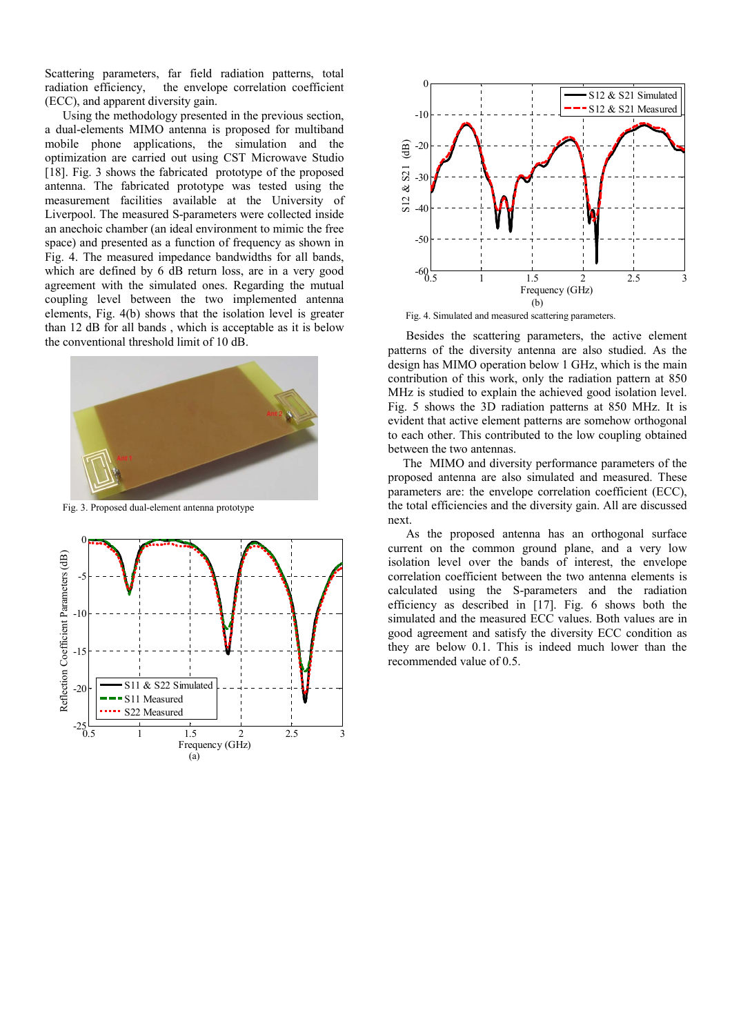Scattering parameters, far field radiation patterns, total radiation efficiency, the envelope correlation coefficient (ECC), and apparent diversity gain.

Using the methodology presented in the previous section, a dual-elements MIMO antenna is proposed for multiband mobile phone applications, the simulation and the optimization are carried out using CST Microwave Studio [18]. Fig. 3 shows the fabricated prototype of the proposed antenna. The fabricated prototype was tested using the measurement facilities available at the University of Liverpool. The measured S-parameters were collected inside an anechoic chamber (an ideal environment to mimic the free space) and presented as a function of frequency as shown in Fig. 4. The measured impedance bandwidths for all bands, which are defined by 6 dB return loss, are in a very good agreement with the simulated ones. Regarding the mutual coupling level between the two implemented antenna elements, Fig. 4(b) shows that the isolation level is greater than 12 dB for all bands , which is acceptable as it is below the conventional threshold limit of 10 dB.



Fig. 3. Proposed dual-element antenna prototype





Fig. 4. Simulated and measured scattering parameters.

 Besides the scattering parameters, the active element patterns of the diversity antenna are also studied. As the design has MIMO operation below 1 GHz, which is the main contribution of this work, only the radiation pattern at 850 MHz is studied to explain the achieved good isolation level. Fig. 5 shows the 3D radiation patterns at 850 MHz. It is evident that active element patterns are somehow orthogonal to each other. This contributed to the low coupling obtained between the two antennas.

 The MIMO and diversity performance parameters of the proposed antenna are also simulated and measured. These parameters are: the envelope correlation coefficient (ECC), the total efficiencies and the diversity gain. All are discussed next.

 As the proposed antenna has an orthogonal surface current on the common ground plane, and a very low isolation level over the bands of interest, the envelope correlation coefficient between the two antenna elements is calculated using the S-parameters and the radiation efficiency as described in [17]. Fig. 6 shows both the simulated and the measured ECC values. Both values are in good agreement and satisfy the diversity ECC condition as they are below 0.1. This is indeed much lower than the recommended value of 0.5.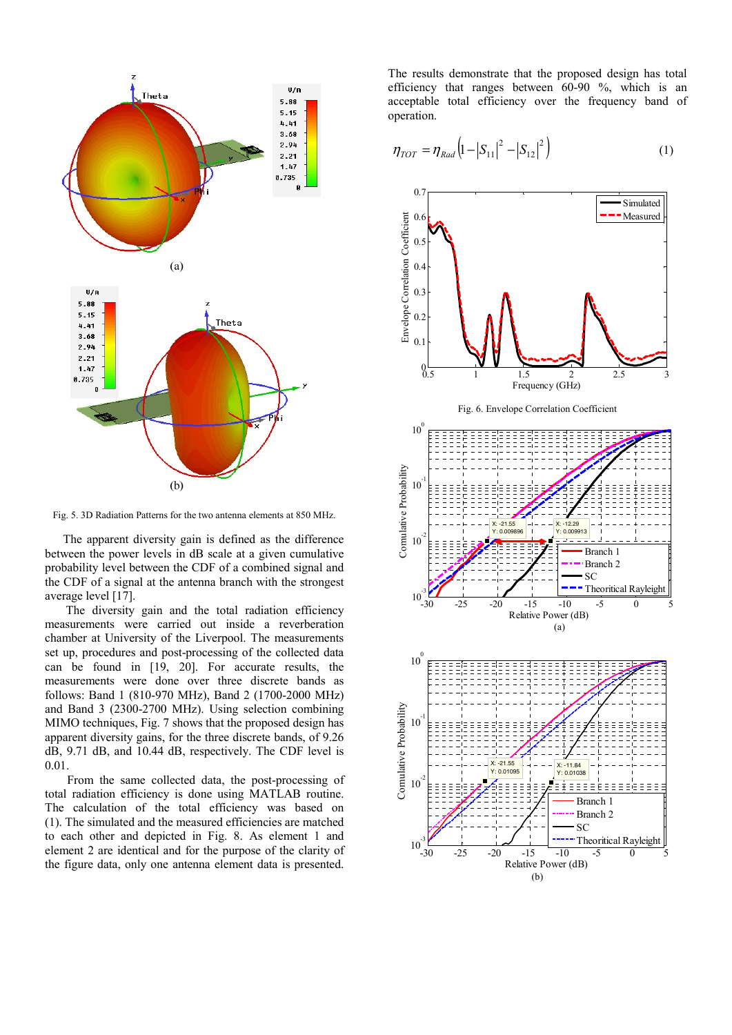

Fig. 5. 3D Radiation Patterns for the two antenna elements at 850 MHz.

 The apparent diversity gain is defined as the difference between the power levels in dB scale at a given cumulative probability level between the CDF of a combined signal and the CDF of a signal at the antenna branch with the strongest average level [17].

 The diversity gain and the total radiation efficiency measurements were carried out inside a reverberation chamber at University of the Liverpool. The measurements set up, procedures and post-processing of the collected data can be found in [19, 20]. For accurate results, the measurements were done over three discrete bands as follows: Band 1 (810-970 MHz), Band 2 (1700-2000 MHz) and Band 3 (2300-2700 MHz). Using selection combining MIMO techniques, Fig. 7 shows that the proposed design has apparent diversity gains, for the three discrete bands, of 9.26 dB, 9.71 dB, and 10.44 dB, respectively. The CDF level is 0.01.

 From the same collected data, the post-processing of total radiation efficiency is done using MATLAB routine. The calculation of the total efficiency was based on (1). The simulated and the measured efficiencies are matched to each other and depicted in Fig. 8. As element 1 and element 2 are identical and for the purpose of the clarity of the figure data, only one antenna element data is presented.

The results demonstrate that the proposed design has total efficiency that ranges between 60-90 %, which is an acceptable total efficiency over the frequency band of operation.

$$
\eta_{TOT} = \eta_{Rad} \left( 1 - |S_{11}|^2 - |S_{12}|^2 \right) \tag{1}
$$